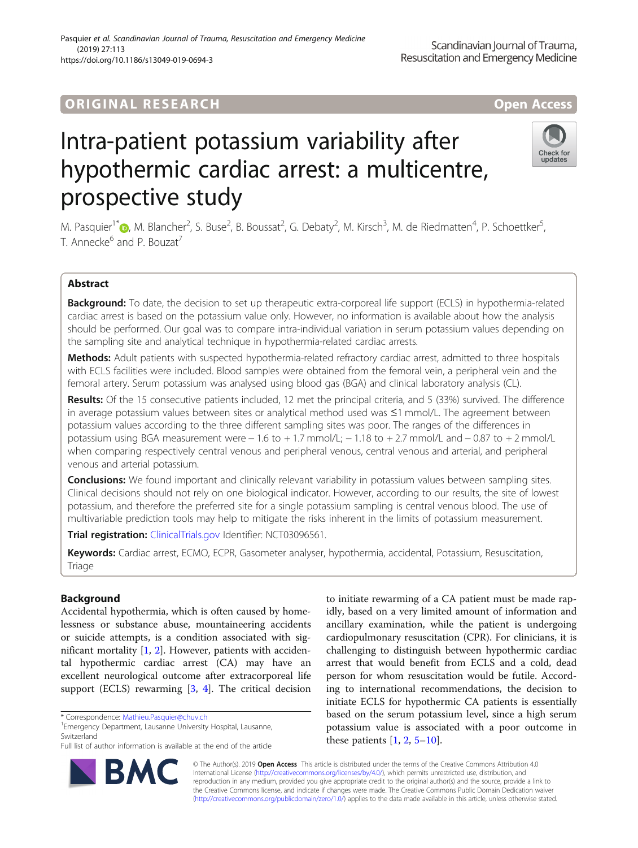# **ORIGINAL RESEARCH AND LOCAL CONSUMING A LOCAL CONSUMING A LOCAL CONSUMING A LOCAL CONSUMING A LOCAL CONSUMING** https://doi.org/10.1186/s13049-019-0694-3



# Intra-patient potassium variability after hypothermic cardiac arrest: a multicentre, prospective study

M. Pasquier<sup>1[\\*](http://orcid.org/0000-0003-0042-5909)</sup>®, M. Blancher<sup>2</sup>, S. Buse<sup>2</sup>, B. Boussat<sup>2</sup>, G. Debaty<sup>2</sup>, M. Kirsch<sup>3</sup>, M. de Riedmatten<sup>4</sup>, P. Schoettker<sup>5</sup> , T. Annecke<sup>6</sup> and P. Bouzat<sup>7</sup>

# Abstract

Background: To date, the decision to set up therapeutic extra-corporeal life support (ECLS) in hypothermia-related cardiac arrest is based on the potassium value only. However, no information is available about how the analysis should be performed. Our goal was to compare intra-individual variation in serum potassium values depending on the sampling site and analytical technique in hypothermia-related cardiac arrests.

Methods: Adult patients with suspected hypothermia-related refractory cardiac arrest, admitted to three hospitals with ECLS facilities were included. Blood samples were obtained from the femoral vein, a peripheral vein and the femoral artery. Serum potassium was analysed using blood gas (BGA) and clinical laboratory analysis (CL).

Results: Of the 15 consecutive patients included, 12 met the principal criteria, and 5 (33%) survived. The difference in average potassium values between sites or analytical method used was ≤1 mmol/L. The agreement between potassium values according to the three different sampling sites was poor. The ranges of the differences in potassium using BGA measurement were − 1.6 to + 1.7 mmol/L; − 1.18 to + 2.7 mmol/L and − 0.87 to + 2 mmol/L when comparing respectively central venous and peripheral venous, central venous and arterial, and peripheral venous and arterial potassium.

**Conclusions:** We found important and clinically relevant variability in potassium values between sampling sites. Clinical decisions should not rely on one biological indicator. However, according to our results, the site of lowest potassium, and therefore the preferred site for a single potassium sampling is central venous blood. The use of multivariable prediction tools may help to mitigate the risks inherent in the limits of potassium measurement.

Trial registration: [ClinicalTrials.gov](http://clinicaltrials.gov) Identifier: NCT03096561.

Keywords: Cardiac arrest, ECMO, ECPR, Gasometer analyser, hypothermia, accidental, Potassium, Resuscitation, Triage

# Background

Accidental hypothermia, which is often caused by homelessness or substance abuse, mountaineering accidents or suicide attempts, is a condition associated with significant mortality [\[1](#page-7-0), [2](#page-7-0)]. However, patients with accidental hypothermic cardiac arrest (CA) may have an excellent neurological outcome after extracorporeal life support (ECLS) rewarming  $[3, 4]$  $[3, 4]$  $[3, 4]$  $[3, 4]$  $[3, 4]$ . The critical decision

R,

<sup>1</sup> Emergency Department, Lausanne University Hospital, Lausanne, Switzerland



© The Author(s). 2019 **Open Access** This article is distributed under the terms of the Creative Commons Attribution 4.0 International License [\(http://creativecommons.org/licenses/by/4.0/](http://creativecommons.org/licenses/by/4.0/)), which permits unrestricted use, distribution, and reproduction in any medium, provided you give appropriate credit to the original author(s) and the source, provide a link to the Creative Commons license, and indicate if changes were made. The Creative Commons Public Domain Dedication waiver [\(http://creativecommons.org/publicdomain/zero/1.0/](http://creativecommons.org/publicdomain/zero/1.0/)) applies to the data made available in this article, unless otherwise stated.

<sup>\*</sup> Correspondence: [Mathieu.Pasquier@chuv.ch](mailto:Mathieu.Pasquier@chuv.ch) <sup>1</sup>

Full list of author information is available at the end of the article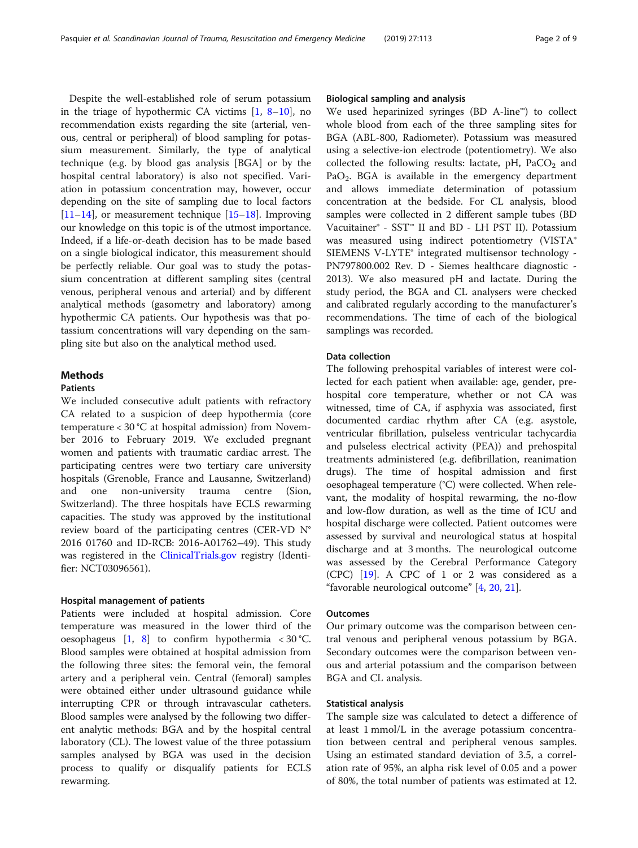Despite the well-established role of serum potassium in the triage of hypothermic CA victims [[1,](#page-7-0) [8](#page-7-0)–[10](#page-7-0)], no recommendation exists regarding the site (arterial, venous, central or peripheral) of blood sampling for potassium measurement. Similarly, the type of analytical technique (e.g. by blood gas analysis [BGA] or by the hospital central laboratory) is also not specified. Variation in potassium concentration may, however, occur depending on the site of sampling due to local factors [[11](#page-7-0)–[14](#page-7-0)], or measurement technique [\[15](#page-7-0)–[18\]](#page-7-0). Improving our knowledge on this topic is of the utmost importance. Indeed, if a life-or-death decision has to be made based on a single biological indicator, this measurement should be perfectly reliable. Our goal was to study the potassium concentration at different sampling sites (central venous, peripheral venous and arterial) and by different analytical methods (gasometry and laboratory) among hypothermic CA patients. Our hypothesis was that potassium concentrations will vary depending on the sampling site but also on the analytical method used.

# Methods

# Patients

We included consecutive adult patients with refractory CA related to a suspicion of deep hypothermia (core temperature < 30 °C at hospital admission) from November 2016 to February 2019. We excluded pregnant women and patients with traumatic cardiac arrest. The participating centres were two tertiary care university hospitals (Grenoble, France and Lausanne, Switzerland) and one non-university trauma centre (Sion, Switzerland). The three hospitals have ECLS rewarming capacities. The study was approved by the institutional review board of the participating centres (CER-VD N° 2016 01760 and ID-RCB: 2016-A01762–49). This study was registered in the [ClinicalTrials.gov](http://clinicaltrials.gov) registry (Identifier: NCT03096561).

### Hospital management of patients

Patients were included at hospital admission. Core temperature was measured in the lower third of the oesophageus  $[1, 8]$  $[1, 8]$  $[1, 8]$  $[1, 8]$  to confirm hypothermia < 30 °C. Blood samples were obtained at hospital admission from the following three sites: the femoral vein, the femoral artery and a peripheral vein. Central (femoral) samples were obtained either under ultrasound guidance while interrupting CPR or through intravascular catheters. Blood samples were analysed by the following two different analytic methods: BGA and by the hospital central laboratory (CL). The lowest value of the three potassium samples analysed by BGA was used in the decision process to qualify or disqualify patients for ECLS rewarming.

# Biological sampling and analysis

We used heparinized syringes (BD A-line™) to collect whole blood from each of the three sampling sites for BGA (ABL-800, Radiometer). Potassium was measured using a selective-ion electrode (potentiometry). We also collected the following results: lactate,  $pH$ ,  $PaCO<sub>2</sub>$  and  $PaO<sub>2</sub>$ . BGA is available in the emergency department and allows immediate determination of potassium concentration at the bedside. For CL analysis, blood samples were collected in 2 different sample tubes (BD Vacuitainer® - SST™ II and BD - LH PST II). Potassium was measured using indirect potentiometry (VISTA® SIEMENS V-LYTE® integrated multisensor technology - PN797800.002 Rev. D - Siemes healthcare diagnostic - 2013). We also measured pH and lactate. During the study period, the BGA and CL analysers were checked and calibrated regularly according to the manufacturer's recommendations. The time of each of the biological samplings was recorded.

# Data collection

The following prehospital variables of interest were collected for each patient when available: age, gender, prehospital core temperature, whether or not CA was witnessed, time of CA, if asphyxia was associated, first documented cardiac rhythm after CA (e.g. asystole, ventricular fibrillation, pulseless ventricular tachycardia and pulseless electrical activity (PEA)) and prehospital treatments administered (e.g. defibrillation, reanimation drugs). The time of hospital admission and first oesophageal temperature (°C) were collected. When relevant, the modality of hospital rewarming, the no-flow and low-flow duration, as well as the time of ICU and hospital discharge were collected. Patient outcomes were assessed by survival and neurological status at hospital discharge and at 3 months. The neurological outcome was assessed by the Cerebral Performance Category (CPC) [\[19\]](#page-7-0). A CPC of 1 or 2 was considered as a "favorable neurological outcome" [[4,](#page-7-0) [20,](#page-7-0) [21](#page-7-0)].

# **Outcomes**

Our primary outcome was the comparison between central venous and peripheral venous potassium by BGA. Secondary outcomes were the comparison between venous and arterial potassium and the comparison between BGA and CL analysis.

# Statistical analysis

The sample size was calculated to detect a difference of at least 1 mmol/L in the average potassium concentration between central and peripheral venous samples. Using an estimated standard deviation of 3.5, a correlation rate of 95%, an alpha risk level of 0.05 and a power of 80%, the total number of patients was estimated at 12.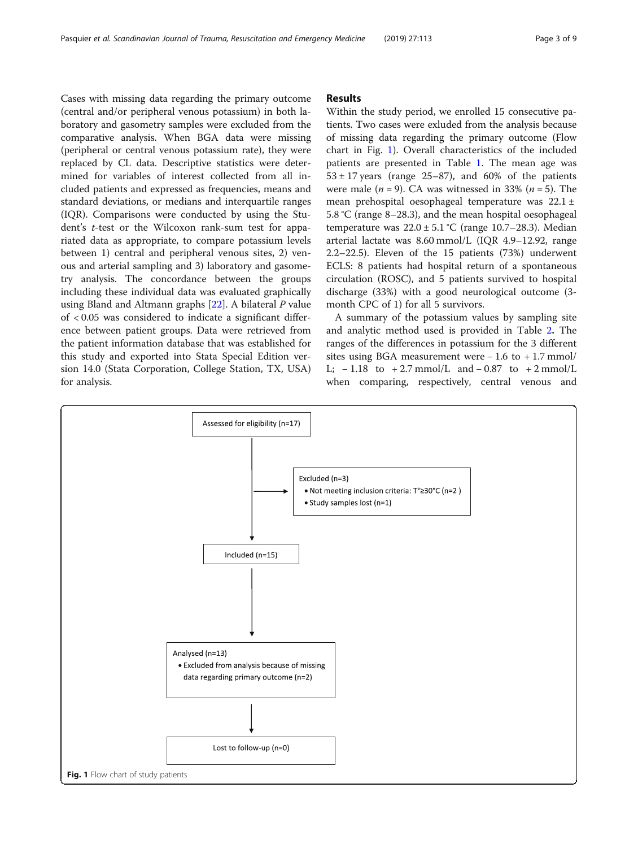Cases with missing data regarding the primary outcome (central and/or peripheral venous potassium) in both laboratory and gasometry samples were excluded from the comparative analysis. When BGA data were missing (peripheral or central venous potassium rate), they were replaced by CL data. Descriptive statistics were determined for variables of interest collected from all included patients and expressed as frequencies, means and standard deviations, or medians and interquartile ranges (IQR). Comparisons were conducted by using the Student's t-test or the Wilcoxon rank-sum test for appariated data as appropriate, to compare potassium levels between 1) central and peripheral venous sites, 2) venous and arterial sampling and 3) laboratory and gasometry analysis. The concordance between the groups including these individual data was evaluated graphically using Bland and Altmann graphs  $[22]$  $[22]$  $[22]$ . A bilateral P value of < 0.05 was considered to indicate a significant difference between patient groups. Data were retrieved from the patient information database that was established for this study and exported into Stata Special Edition version 14.0 (Stata Corporation, College Station, TX, USA) for analysis.

# Results

Within the study period, we enrolled 15 consecutive patients. Two cases were exluded from the analysis because of missing data regarding the primary outcome (Flow chart in Fig. 1). Overall characteristics of the included patients are presented in Table [1.](#page-3-0) The mean age was  $53 \pm 17$  years (range 25–87), and 60% of the patients were male  $(n = 9)$ . CA was witnessed in 33%  $(n = 5)$ . The mean prehospital oesophageal temperature was 22.1 ± 5.8 °C (range 8–28.3), and the mean hospital oesophageal temperature was  $22.0 \pm 5.1$  °C (range 10.7–28.3). Median arterial lactate was 8.60 mmol/L (IQR 4.9–12.92, range 2.2–22.5). Eleven of the 15 patients (73%) underwent ECLS: 8 patients had hospital return of a spontaneous circulation (ROSC), and 5 patients survived to hospital discharge (33%) with a good neurological outcome (3 month CPC of 1) for all 5 survivors.

A summary of the potassium values by sampling site and analytic method used is provided in Table [2](#page-3-0). The ranges of the differences in potassium for the 3 different sites using BGA measurement were  $-1.6$  to  $+1.7$  mmol/ L;  $-1.18$  to  $+2.7$  mmol/L and  $-0.87$  to  $+2$  mmol/L when comparing, respectively, central venous and

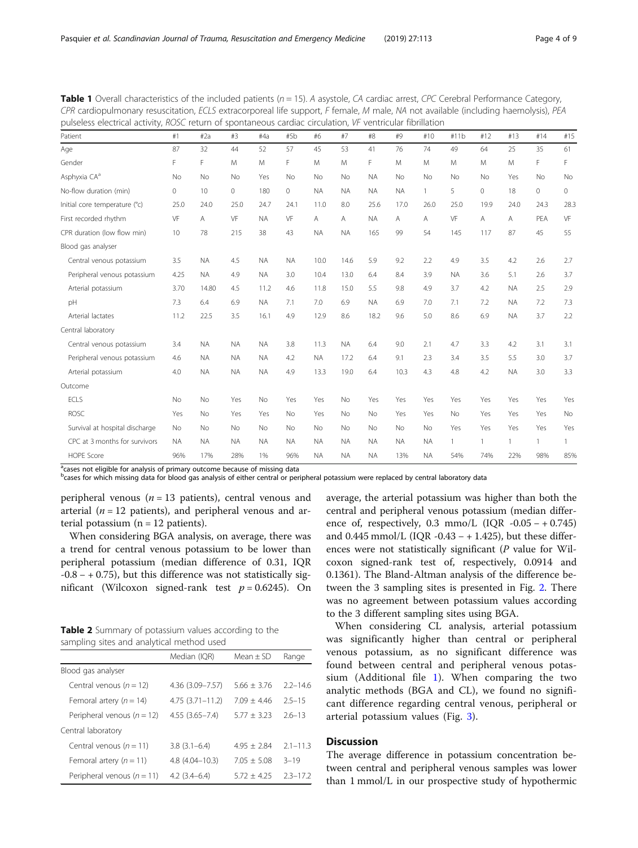| raye 4 ( |  |
|----------|--|
|          |  |

| pulseless electrical activity, ROSC return of spontaneous cardiac circulation, VF ventricular fibrillation |           |           |           |           |           |           |           |           |           |           |              |              |              |              |              |
|------------------------------------------------------------------------------------------------------------|-----------|-----------|-----------|-----------|-----------|-----------|-----------|-----------|-----------|-----------|--------------|--------------|--------------|--------------|--------------|
| Patient                                                                                                    | #1        | #2a       | #3        | #4a       | #5b       | #6        | #7        | #8        | #9        | #10       | #11b         | #12          | #13          | #14          | #15          |
| Age                                                                                                        | 87        | 32        | 44        | 52        | 57        | 45        | 53        | 41        | 76        | 74        | 49           | 64           | 25           | 35           | 61           |
| Gender                                                                                                     | F         | F         | M         | M         | F         | M         | M         | F         | M         | M         | M            | M            | M            | F.           | F.           |
| Asphyxia CA <sup>a</sup>                                                                                   | <b>No</b> | <b>No</b> | No        | Yes       | No        | No        | <b>No</b> | <b>NA</b> | No        | No        | No           | <b>No</b>    | Yes          | <b>No</b>    | No           |
| No-flow duration (min)                                                                                     | 0         | 10        | $\Omega$  | 180       | $\Omega$  | <b>NA</b> | <b>NA</b> | <b>NA</b> | <b>NA</b> |           | 5            | $\mathbf{0}$ | 18           | $\Omega$     | $\mathbf{0}$ |
| Initial core temperature (°c)                                                                              | 25.0      | 24.0      | 25.0      | 24.7      | 24.1      | 11.0      | 8.0       | 25.6      | 17.0      | 26.0      | 25.0         | 19.9         | 24.0         | 24.3         | 28.3         |
| First recorded rhythm                                                                                      | VF        | A         | VF        | <b>NA</b> | VF        | A         | A         | <b>NA</b> | A         | A         | VF           | A            | A            | PEA          | VF           |
| CPR duration (low flow min)                                                                                | 10        | 78        | 215       | 38        | 43        | <b>NA</b> | <b>NA</b> | 165       | 99        | 54        | 145          | 117          | 87           | 45           | 55           |
| Blood gas analyser                                                                                         |           |           |           |           |           |           |           |           |           |           |              |              |              |              |              |
| Central venous potassium                                                                                   | 3.5       | <b>NA</b> | 4.5       | <b>NA</b> | <b>NA</b> | 10.0      | 14.6      | 5.9       | 9.2       | 2.2       | 4.9          | 3.5          | 4.2          | 2.6          | 2.7          |
| Peripheral venous potassium                                                                                | 4.25      | <b>NA</b> | 4.9       | <b>NA</b> | 3.0       | 10.4      | 13.0      | 6.4       | 8.4       | 3.9       | <b>NA</b>    | 3.6          | 5.1          | 2.6          | 3.7          |
| Arterial potassium                                                                                         | 3.70      | 14.80     | 4.5       | 11.2      | 4.6       | 11.8      | 15.0      | 5.5       | 9.8       | 4.9       | 3.7          | 4.2          | <b>NA</b>    | 2.5          | 2.9          |
| pH                                                                                                         | 7.3       | 6.4       | 6.9       | <b>NA</b> | 7.1       | 7.0       | 6.9       | <b>NA</b> | 6.9       | 7.0       | 7.1          | 7.2          | <b>NA</b>    | 7.2          | 7.3          |
| Arterial lactates                                                                                          | 11.2      | 22.5      | 3.5       | 16.1      | 4.9       | 12.9      | 8.6       | 18.2      | 9.6       | 5.0       | 8.6          | 6.9          | <b>NA</b>    | 3.7          | 2.2          |
| Central laboratory                                                                                         |           |           |           |           |           |           |           |           |           |           |              |              |              |              |              |
| Central venous potassium                                                                                   | 3.4       | <b>NA</b> | <b>NA</b> | <b>NA</b> | 3.8       | 11.3      | <b>NA</b> | 6.4       | 9.0       | 2.1       | 4.7          | 3.3          | 4.2          | 3.1          | 3.1          |
| Peripheral venous potassium                                                                                | 4.6       | <b>NA</b> | <b>NA</b> | <b>NA</b> | 4.2       | <b>NA</b> | 17.2      | 6.4       | 9.1       | 2.3       | 3.4          | 3.5          | 5.5          | 3.0          | 3.7          |
| Arterial potassium                                                                                         | 4.0       | <b>NA</b> | <b>NA</b> | <b>NA</b> | 4.9       | 13.3      | 19.0      | 6.4       | 10.3      | 4.3       | 4.8          | 4.2          | <b>NA</b>    | 3.0          | 3.3          |
| Outcome                                                                                                    |           |           |           |           |           |           |           |           |           |           |              |              |              |              |              |
| ECLS                                                                                                       | <b>No</b> | <b>No</b> | Yes       | No        | Yes       | Yes       | <b>No</b> | Yes       | Yes       | Yes       | Yes          | Yes          | Yes          | Yes          | Yes          |
| <b>ROSC</b>                                                                                                | Yes       | <b>No</b> | Yes       | Yes       | <b>No</b> | Yes       | <b>No</b> | <b>No</b> | Yes       | Yes       | <b>No</b>    | Yes          | Yes          | Yes          | No           |
| Survival at hospital discharge                                                                             | No.       | <b>No</b> | No        | No        | <b>No</b> | No        | <b>No</b> | <b>No</b> | No        | <b>No</b> | Yes          | Yes          | Yes          | Yes          | Yes          |
| CPC at 3 months for survivors                                                                              | <b>NA</b> | <b>NA</b> | <b>NA</b> | <b>NA</b> | <b>NA</b> | <b>NA</b> | <b>NA</b> | <b>NA</b> | <b>NA</b> | <b>NA</b> | $\mathbf{1}$ | $\mathbf{1}$ | $\mathbf{1}$ | $\mathbf{1}$ | 1            |
| <b>HOPE Score</b>                                                                                          | 96%       | 17%       | 28%       | 1%        | 96%       | <b>NA</b> | <b>NA</b> | <b>NA</b> | 13%       | <b>NA</b> | 54%          | 74%          | 22%          | 98%          | 85%          |

<span id="page-3-0"></span>**Table 1** Overall characteristics of the included patients  $(n = 15)$ . A asystole, CA cardiac arrest, CPC Cerebral Performance Category, CPR cardiopulmonary resuscitation, ECLS extracorporeal life support, F female, M male, NA not available (including haemolysis), PEA

<sup>a</sup>cases not eligible for analysis of primary outcome because of missing data

b<br>Cases for which missing data for blood gas analysis of either central or peripheral potassium were replaced by central laboratory data

peripheral venous ( $n = 13$  patients), central venous and arterial ( $n = 12$  patients), and peripheral venous and arterial potassium ( $n = 12$  patients).

When considering BGA analysis, on average, there was a trend for central venous potassium to be lower than peripheral potassium (median difference of 0.31, IQR  $-0.8 - +0.75$ ), but this difference was not statistically significant (Wilcoxon signed-rank test  $p = 0.6245$ ). On

Table 2 Summary of potassium values according to the sampling sites and analytical method used

|                                | Median (IQR)        | Mean $\pm$ SD | Range        |
|--------------------------------|---------------------|---------------|--------------|
| Blood gas analyser             |                     |               |              |
| Central venous ( $n = 12$ )    | 4.36 (3.09 - 7.57)  | $5.66 + 3.76$ | $2.2 - 14.6$ |
| Femoral artery ( $n = 14$ )    | $4.75(3.71 - 11.2)$ | $7.09 + 4.46$ | $2.5 - 1.5$  |
| Peripheral venous ( $n = 12$ ) | $4.55(3.65 - 7.4)$  | $5.77 + 3.23$ | $2.6 - 13$   |
| Central laboratory             |                     |               |              |
| Central venous ( $n = 11$ )    | $3.8(3.1 - 6.4)$    | $495 + 284$   | $2.1 - 11.3$ |
| Femoral artery $(n = 11)$      | $4.8(4.04 - 10.3)$  | $7.05 + 5.08$ | $3 - 19$     |
| Peripheral venous ( $n = 11$ ) | $4.2(3.4-6.4)$      | $5.72 + 4.25$ | $23 - 172$   |

average, the arterial potassium was higher than both the central and peripheral venous potassium (median difference of, respectively, 0.3 mmo/L (IQR  $-0.05 - +0.745$ ) and  $0.445$  mmol/L (IQR -0.43 – + 1.425), but these differences were not statistically significant  $(P$  value for Wilcoxon signed-rank test of, respectively, 0.0914 and 0.1361). The Bland-Altman analysis of the difference between the 3 sampling sites is presented in Fig. [2](#page-4-0). There was no agreement between potassium values according to the 3 different sampling sites using BGA.

When considering CL analysis, arterial potassium was significantly higher than central or peripheral venous potassium, as no significant difference was found between central and peripheral venous potassium (Additional file [1](#page-6-0)). When comparing the two analytic methods (BGA and CL), we found no significant difference regarding central venous, peripheral or arterial potassium values (Fig. [3\)](#page-4-0).

# **Discussion**

The average difference in potassium concentration between central and peripheral venous samples was lower than 1 mmol/L in our prospective study of hypothermic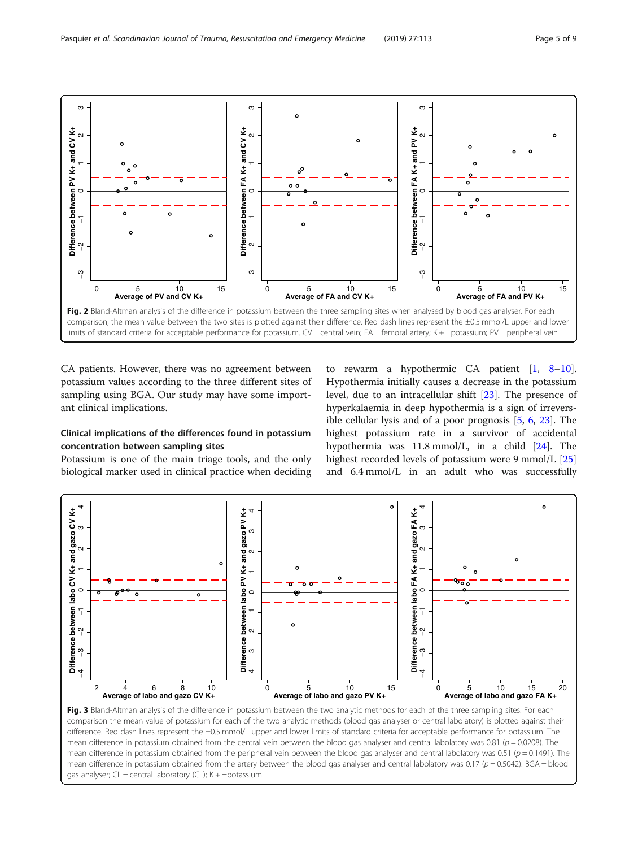<span id="page-4-0"></span>

CA patients. However, there was no agreement between potassium values according to the three different sites of sampling using BGA. Our study may have some important clinical implications.

# Clinical implications of the differences found in potassium concentration between sampling sites

Potassium is one of the main triage tools, and the only biological marker used in clinical practice when deciding

to rewarm a hypothermic CA patient  $\begin{bmatrix} 1, 8-10 \end{bmatrix}$  $\begin{bmatrix} 1, 8-10 \end{bmatrix}$  $\begin{bmatrix} 1, 8-10 \end{bmatrix}$  $\begin{bmatrix} 1, 8-10 \end{bmatrix}$  $\begin{bmatrix} 1, 8-10 \end{bmatrix}$  $\begin{bmatrix} 1, 8-10 \end{bmatrix}$  $\begin{bmatrix} 1, 8-10 \end{bmatrix}$ . Hypothermia initially causes a decrease in the potassium level, due to an intracellular shift [[23\]](#page-7-0). The presence of hyperkalaemia in deep hypothermia is a sign of irreversible cellular lysis and of a poor prognosis [[5,](#page-7-0) [6](#page-7-0), [23\]](#page-7-0). The highest potassium rate in a survivor of accidental hypothermia was 11.8 mmol/L, in a child [[24](#page-7-0)]. The highest recorded levels of potassium were 9 mmol/L [[25](#page-7-0)] and 6.4 mmol/L in an adult who was successfully



Fig. 3 Bland-Altman analysis of the difference in potassium between the two analytic methods for each of the three sampling sites. For each comparison the mean value of potassium for each of the two analytic methods (blood gas analyser or central labolatory) is plotted against their difference. Red dash lines represent the ±0.5 mmol/L upper and lower limits of standard criteria for acceptable performance for potassium. The mean difference in potassium obtained from the central vein between the blood gas analyser and central labolatory was 0.81 ( $p = 0.0208$ ). The mean difference in potassium obtained from the peripheral vein between the blood gas analyser and central labolatory was 0.51 ( $p = 0.1491$ ). The mean difference in potassium obtained from the artery between the blood gas analyser and central labolatory was 0.17 ( $p = 0.5042$ ). BGA = blood gas analyser;  $CL =$  central laboratory ( $CL$ );  $K + =$ potassium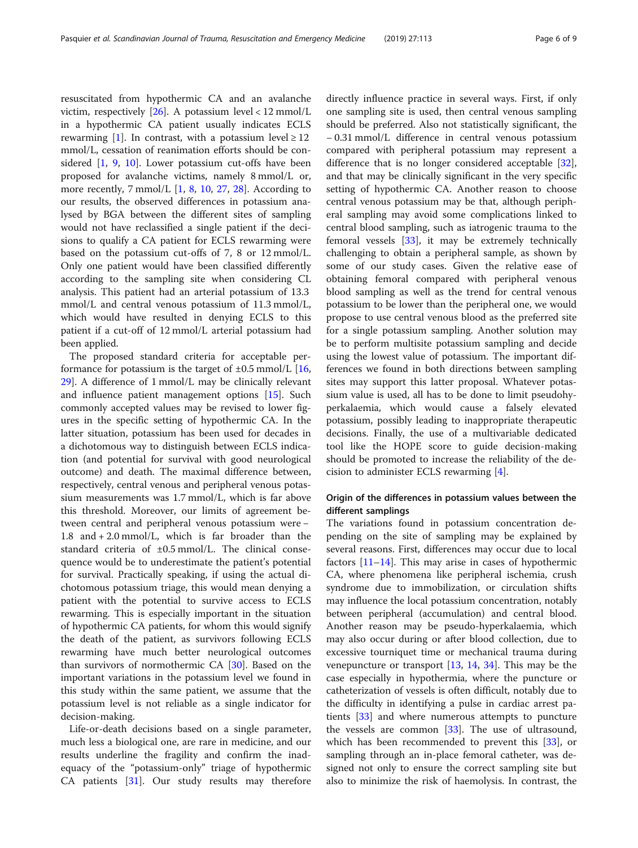resuscitated from hypothermic CA and an avalanche victim, respectively  $[26]$  $[26]$ . A potassium level < 12 mmol/L in a hypothermic CA patient usually indicates ECLS rewarming [[1\]](#page-7-0). In contrast, with a potassium level  $\geq 12$ mmol/L, cessation of reanimation efforts should be considered [[1,](#page-7-0) [9](#page-7-0), [10\]](#page-7-0). Lower potassium cut-offs have been proposed for avalanche victims, namely 8 mmol/L or, more recently,  $7 \text{ mmol/L}$  [\[1,](#page-7-0) [8](#page-7-0), [10,](#page-7-0) [27](#page-7-0), [28\]](#page-7-0). According to our results, the observed differences in potassium analysed by BGA between the different sites of sampling would not have reclassified a single patient if the decisions to qualify a CA patient for ECLS rewarming were based on the potassium cut-offs of 7, 8 or 12 mmol/L. Only one patient would have been classified differently according to the sampling site when considering CL analysis. This patient had an arterial potassium of 13.3 mmol/L and central venous potassium of 11.3 mmol/L, which would have resulted in denying ECLS to this patient if a cut-off of 12 mmol/L arterial potassium had been applied.

The proposed standard criteria for acceptable performance for potassium is the target of  $\pm 0.5$  mmol/L [[16](#page-7-0), [29\]](#page-7-0). A difference of 1 mmol/L may be clinically relevant and influence patient management options [\[15\]](#page-7-0). Such commonly accepted values may be revised to lower figures in the specific setting of hypothermic CA. In the latter situation, potassium has been used for decades in a dichotomous way to distinguish between ECLS indication (and potential for survival with good neurological outcome) and death. The maximal difference between, respectively, central venous and peripheral venous potassium measurements was 1.7 mmol/L, which is far above this threshold. Moreover, our limits of agreement between central and peripheral venous potassium were − 1.8 and + 2.0 mmol/L, which is far broader than the standard criteria of ±0.5 mmol/L. The clinical consequence would be to underestimate the patient's potential for survival. Practically speaking, if using the actual dichotomous potassium triage, this would mean denying a patient with the potential to survive access to ECLS rewarming. This is especially important in the situation of hypothermic CA patients, for whom this would signify the death of the patient, as survivors following ECLS rewarming have much better neurological outcomes than survivors of normothermic CA [\[30\]](#page-7-0). Based on the important variations in the potassium level we found in this study within the same patient, we assume that the potassium level is not reliable as a single indicator for decision-making.

Life-or-death decisions based on a single parameter, much less a biological one, are rare in medicine, and our results underline the fragility and confirm the inadequacy of the "potassium-only" triage of hypothermic CA patients [[31\]](#page-7-0). Our study results may therefore

directly influence practice in several ways. First, if only one sampling site is used, then central venous sampling should be preferred. Also not statistically significant, the − 0.31 mmol/L difference in central venous potassium compared with peripheral potassium may represent a difference that is no longer considered acceptable [\[32](#page-7-0)], and that may be clinically significant in the very specific setting of hypothermic CA. Another reason to choose central venous potassium may be that, although peripheral sampling may avoid some complications linked to central blood sampling, such as iatrogenic trauma to the femoral vessels [\[33\]](#page-8-0), it may be extremely technically challenging to obtain a peripheral sample, as shown by some of our study cases. Given the relative ease of obtaining femoral compared with peripheral venous blood sampling as well as the trend for central venous potassium to be lower than the peripheral one, we would propose to use central venous blood as the preferred site for a single potassium sampling. Another solution may be to perform multisite potassium sampling and decide using the lowest value of potassium. The important differences we found in both directions between sampling sites may support this latter proposal. Whatever potassium value is used, all has to be done to limit pseudohyperkalaemia, which would cause a falsely elevated potassium, possibly leading to inappropriate therapeutic decisions. Finally, the use of a multivariable dedicated tool like the HOPE score to guide decision-making should be promoted to increase the reliability of the decision to administer ECLS rewarming [[4\]](#page-7-0).

# Origin of the differences in potassium values between the different samplings

The variations found in potassium concentration depending on the site of sampling may be explained by several reasons. First, differences may occur due to local factors  $[11-14]$  $[11-14]$  $[11-14]$ . This may arise in cases of hypothermic CA, where phenomena like peripheral ischemia, crush syndrome due to immobilization, or circulation shifts may influence the local potassium concentration, notably between peripheral (accumulation) and central blood. Another reason may be pseudo-hyperkalaemia, which may also occur during or after blood collection, due to excessive tourniquet time or mechanical trauma during venepuncture or transport  $[13, 14, 34]$  $[13, 14, 34]$  $[13, 14, 34]$  $[13, 14, 34]$  $[13, 14, 34]$  $[13, 14, 34]$  $[13, 14, 34]$ . This may be the case especially in hypothermia, where the puncture or catheterization of vessels is often difficult, notably due to the difficulty in identifying a pulse in cardiac arrest patients [\[33](#page-8-0)] and where numerous attempts to puncture the vessels are common [\[33](#page-8-0)]. The use of ultrasound, which has been recommended to prevent this [[33\]](#page-8-0), or sampling through an in-place femoral catheter, was designed not only to ensure the correct sampling site but also to minimize the risk of haemolysis. In contrast, the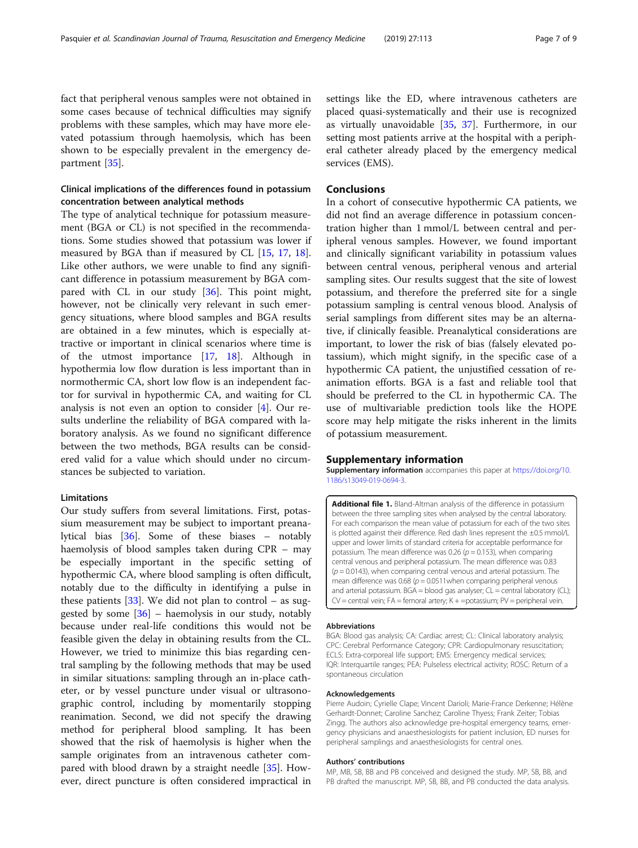<span id="page-6-0"></span>fact that peripheral venous samples were not obtained in some cases because of technical difficulties may signify problems with these samples, which may have more elevated potassium through haemolysis, which has been shown to be especially prevalent in the emergency department [\[35](#page-8-0)].

# Clinical implications of the differences found in potassium concentration between analytical methods

The type of analytical technique for potassium measurement (BGA or CL) is not specified in the recommendations. Some studies showed that potassium was lower if measured by BGA than if measured by CL [[15,](#page-7-0) [17](#page-7-0), [18](#page-7-0)]. Like other authors, we were unable to find any significant difference in potassium measurement by BGA compared with CL in our study [[36\]](#page-8-0). This point might, however, not be clinically very relevant in such emergency situations, where blood samples and BGA results are obtained in a few minutes, which is especially attractive or important in clinical scenarios where time is of the utmost importance [[17,](#page-7-0) [18](#page-7-0)]. Although in hypothermia low flow duration is less important than in normothermic CA, short low flow is an independent factor for survival in hypothermic CA, and waiting for CL analysis is not even an option to consider [\[4](#page-7-0)]. Our results underline the reliability of BGA compared with laboratory analysis. As we found no significant difference between the two methods, BGA results can be considered valid for a value which should under no circumstances be subjected to variation.

#### **Limitations**

Our study suffers from several limitations. First, potassium measurement may be subject to important preanalytical bias [[36\]](#page-8-0). Some of these biases – notably haemolysis of blood samples taken during CPR – may be especially important in the specific setting of hypothermic CA, where blood sampling is often difficult, notably due to the difficulty in identifying a pulse in these patients  $[33]$  $[33]$ . We did not plan to control – as suggested by some  $[36]$  $[36]$  – haemolysis in our study, notably because under real-life conditions this would not be feasible given the delay in obtaining results from the CL. However, we tried to minimize this bias regarding central sampling by the following methods that may be used in similar situations: sampling through an in-place catheter, or by vessel puncture under visual or ultrasonographic control, including by momentarily stopping reanimation. Second, we did not specify the drawing method for peripheral blood sampling. It has been showed that the risk of haemolysis is higher when the sample originates from an intravenous catheter compared with blood drawn by a straight needle [[35\]](#page-8-0). However, direct puncture is often considered impractical in

settings like the ED, where intravenous catheters are placed quasi-systematically and their use is recognized as virtually unavoidable [\[35,](#page-8-0) [37](#page-8-0)]. Furthermore, in our setting most patients arrive at the hospital with a peripheral catheter already placed by the emergency medical services (EMS).

# Conclusions

In a cohort of consecutive hypothermic CA patients, we did not find an average difference in potassium concentration higher than 1 mmol/L between central and peripheral venous samples. However, we found important and clinically significant variability in potassium values between central venous, peripheral venous and arterial sampling sites. Our results suggest that the site of lowest potassium, and therefore the preferred site for a single potassium sampling is central venous blood. Analysis of serial samplings from different sites may be an alternative, if clinically feasible. Preanalytical considerations are important, to lower the risk of bias (falsely elevated potassium), which might signify, in the specific case of a hypothermic CA patient, the unjustified cessation of reanimation efforts. BGA is a fast and reliable tool that should be preferred to the CL in hypothermic CA. The use of multivariable prediction tools like the HOPE score may help mitigate the risks inherent in the limits of potassium measurement.

# Supplementary information

Supplementary information accompanies this paper at [https://doi.org/10.](https://doi.org/10.1186/s13049-019-0694-3) [1186/s13049-019-0694-3.](https://doi.org/10.1186/s13049-019-0694-3)

Additional file 1. Bland-Altman analysis of the difference in potassium between the three sampling sites when analysed by the central laboratory. For each comparison the mean value of potassium for each of the two sites is plotted against their difference. Red dash lines represent the ±0.5 mmol/L upper and lower limits of standard criteria for acceptable performance for potassium. The mean difference was 0.26 ( $p = 0.153$ ), when comparing central venous and peripheral potassium. The mean difference was 0.83  $(p = 0.0143)$ , when comparing central venous and arterial potassium. The mean difference was 0.68 ( $p = 0.0511$  when comparing peripheral venous and arterial potassium. BGA = blood gas analyser; CL = central laboratory (CL); CV = central vein; FA = femoral artery; K + =potassium; PV = peripheral vein.

#### Abbreviations

BGA: Blood gas analysis; CA: Cardiac arrest; CL: Clinical laboratory analysis; CPC: Cerebral Performance Category; CPR: Cardiopulmonary resuscitation; ECLS: Extra-corporeal life support; EMS: Emergency medical services; IQR: Interquartile ranges; PEA: Pulseless electrical activity; ROSC: Return of a spontaneous circulation

### Acknowledgements

Pierre Audoin; Cyrielle Clape; Vincent Darioli; Marie-France Derkenne; Hélène Gerhardt-Donnet; Caroline Sanchez; Caroline Thyess; Frank Zeiter; Tobias Zingg. The authors also acknowledge pre-hospital emergency teams, emergency physicians and anaesthesiologists for patient inclusion, ED nurses for peripheral samplings and anaesthesiologists for central ones.

#### Authors' contributions

MP, MB, SB, BB and PB conceived and designed the study. MP, SB, BB, and PB drafted the manuscript. MP, SB, BB, and PB conducted the data analysis.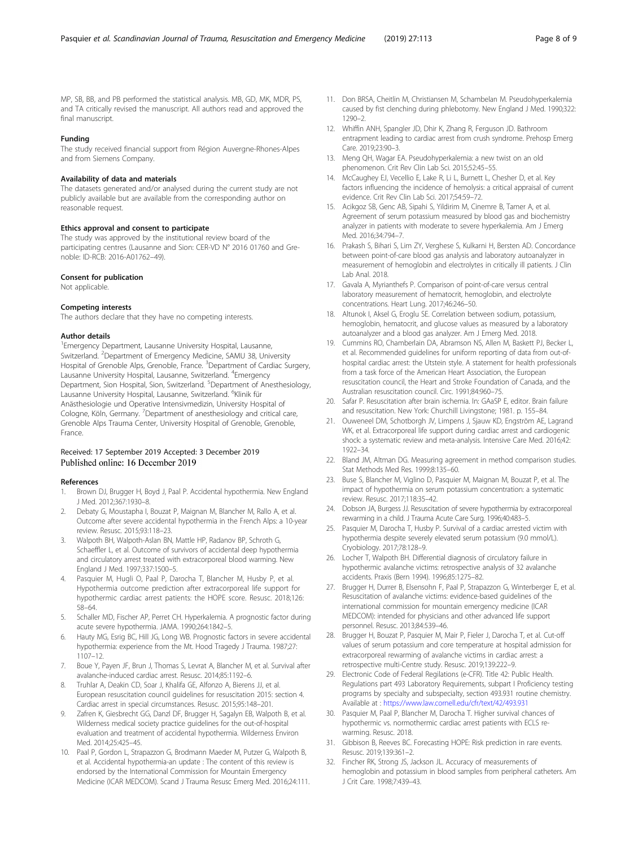<span id="page-7-0"></span>MP, SB, BB, and PB performed the statistical analysis. MB, GD, MK, MDR, PS, and TA critically revised the manuscript. All authors read and approved the final manuscript.

# Funding

The study received financial support from Région Auvergne-Rhones-Alpes and from Siemens Company.

#### Availability of data and materials

The datasets generated and/or analysed during the current study are not publicly available but are available from the corresponding author on reasonable request.

#### Ethics approval and consent to participate

The study was approved by the institutional review board of the participating centres (Lausanne and Sion: CER-VD N° 2016 01760 and Grenoble: ID-RCB: 2016-A01762–49).

#### Consent for publication

Not applicable.

### Competing interests

The authors declare that they have no competing interests.

#### Author details

<sup>1</sup> Emergency Department, Lausanne University Hospital, Lausanne, Switzerland. <sup>2</sup>Department of Emergency Medicine, SAMU 38, University Hospital of Grenoble Alps, Grenoble, France. <sup>3</sup>Department of Cardiac Surgery, Lausanne University Hospital, Lausanne, Switzerland. <sup>4</sup>Emergency Department, Sion Hospital, Sion, Switzerland. <sup>5</sup>Department of Anesthesiology, Lausanne University Hospital, Lausanne, Switzerland. <sup>6</sup>Klinik für Anästhesiologie und Operative Intensivmedizin, University Hospital of Cologne, Köln, Germany. <sup>7</sup>Department of anesthesiology and critical care, Grenoble Alps Trauma Center, University Hospital of Grenoble, Grenoble, France.

# Received: 17 September 2019 Accepted: 3 December 2019 Published online: 16 December 2019

#### References

- 1. Brown DJ, Brugger H, Boyd J, Paal P. Accidental hypothermia. New England J Med. 2012;367:1930–8.
- 2. Debaty G, Moustapha I, Bouzat P, Maignan M, Blancher M, Rallo A, et al. Outcome after severe accidental hypothermia in the French Alps: a 10-year review. Resusc. 2015;93:118–23.
- 3. Walpoth BH, Walpoth-Aslan BN, Mattle HP, Radanov BP, Schroth G, Schaeffler L, et al. Outcome of survivors of accidental deep hypothermia and circulatory arrest treated with extracorporeal blood warming. New England J Med. 1997;337:1500–5.
- 4. Pasquier M, Hugli O, Paal P, Darocha T, Blancher M, Husby P, et al. Hypothermia outcome prediction after extracorporeal life support for hypothermic cardiac arrest patients: the HOPE score. Resusc. 2018;126: 58–64.
- 5. Schaller MD, Fischer AP, Perret CH. Hyperkalemia. A prognostic factor during acute severe hypothermia. JAMA. 1990;264:1842–5.
- Hauty MG, Esrig BC, Hill JG, Long WB. Prognostic factors in severe accidental hypothermia: experience from the Mt. Hood Tragedy J Trauma. 1987;27: 1107–12.
- 7. Boue Y, Payen JF, Brun J, Thomas S, Levrat A, Blancher M, et al. Survival after avalanche-induced cardiac arrest. Resusc. 2014;85:1192–6.
- 8. Truhlar A, Deakin CD, Soar J, Khalifa GE, Alfonzo A, Bierens JJ, et al. European resuscitation council guidelines for resuscitation 2015: section 4. Cardiac arrest in special circumstances. Resusc. 2015;95:148–201.
- 9. Zafren K, Giesbrecht GG, Danzl DF, Brugger H, Sagalyn EB, Walpoth B, et al. Wilderness medical society practice guidelines for the out-of-hospital evaluation and treatment of accidental hypothermia. Wilderness Environ Med. 2014;25:425–45.
- 10. Paal P, Gordon L, Strapazzon G, Brodmann Maeder M, Putzer G, Walpoth B, et al. Accidental hypothermia-an update : The content of this review is endorsed by the International Commission for Mountain Emergency Medicine (ICAR MEDCOM). Scand J Trauma Resusc Emerg Med. 2016;24:111.
- 11. Don BRSA, Cheitlin M, Christiansen M, Schambelan M. Pseudohyperkalemia caused by fist clenching during phlebotomy. New England J Med. 1990;322: 1290–2.
- 12. Whiffin ANH, Spangler JD, Dhir K, Zhang R, Ferguson JD. Bathroom entrapment leading to cardiac arrest from crush syndrome. Prehosp Emerg Care. 2019;23:90–3.
- 13. Meng QH, Wagar EA. Pseudohyperkalemia: a new twist on an old phenomenon. Crit Rev Clin Lab Sci. 2015;52:45–55.
- 14. McCaughey EJ, Vecellio E, Lake R, Li L, Burnett L, Chesher D, et al. Key factors influencing the incidence of hemolysis: a critical appraisal of current evidence. Crit Rev Clin Lab Sci. 2017;54:59–72.
- 15. Acikgoz SB, Genc AB, Sipahi S, Yildirim M, Cinemre B, Tamer A, et al. Agreement of serum potassium measured by blood gas and biochemistry analyzer in patients with moderate to severe hyperkalemia. Am J Emerg Med. 2016;34:794–7.
- 16. Prakash S, Bihari S, Lim ZY, Verghese S, Kulkarni H, Bersten AD. Concordance between point-of-care blood gas analysis and laboratory autoanalyzer in measurement of hemoglobin and electrolytes in critically ill patients. J Clin Lab Anal. 2018.
- 17. Gavala A, Myrianthefs P. Comparison of point-of-care versus central laboratory measurement of hematocrit, hemoglobin, and electrolyte concentrations. Heart Lung. 2017;46:246–50.
- 18. Altunok I, Aksel G, Eroglu SE. Correlation between sodium, potassium, hemoglobin, hematocrit, and glucose values as measured by a laboratory autoanalyzer and a blood gas analyzer. Am J Emerg Med. 2018.
- 19. Cummins RO, Chamberlain DA, Abramson NS, Allen M, Baskett PJ, Becker L, et al. Recommended guidelines for uniform reporting of data from out-ofhospital cardiac arrest: the Utstein style. A statement for health professionals from a task force of the American Heart Association, the European resuscitation council, the Heart and Stroke Foundation of Canada, and the Australian resuscitation council. Circ. 1991;84:960–75.
- 20. Safar P. Resuscitation after brain ischemia. In: GAaSP E, editor. Brain failure and resuscitation. New York: Churchill Livingstone; 1981. p. 155–84.
- 21. Ouweneel DM, Schotborgh JV, Limpens J, Sjauw KD, Engström AE, Lagrand WK, et al. Extracorporeal life support during cardiac arrest and cardiogenic shock: a systematic review and meta-analysis. Intensive Care Med. 2016;42: 1922–34.
- 22. Bland JM, Altman DG. Measuring agreement in method comparison studies. Stat Methods Med Res. 1999;8:135–60.
- 23. Buse S, Blancher M, Viglino D, Pasquier M, Maignan M, Bouzat P, et al. The impact of hypothermia on serum potassium concentration: a systematic review. Resusc. 2017;118:35–42.
- 24. Dobson JA, Burgess JJ. Resuscitation of severe hypothermia by extracorporeal rewarming in a child. J Trauma Acute Care Surg. 1996;40:483–5.
- 25. Pasquier M, Darocha T, Husby P. Survival of a cardiac arrested victim with hypothermia despite severely elevated serum potassium (9.0 mmol/L). Cryobiology. 2017;78:128–9.
- 26. Locher T, Walpoth BH. Differential diagnosis of circulatory failure in hypothermic avalanche victims: retrospective analysis of 32 avalanche accidents. Praxis (Bern 1994). 1996;85:1275–82.
- 27. Brugger H, Durrer B, Elsensohn F, Paal P, Strapazzon G, Winterberger E, et al. Resuscitation of avalanche victims: evidence-based guidelines of the international commission for mountain emergency medicine (ICAR MEDCOM): intended for physicians and other advanced life support personnel. Resusc. 2013;84:539–46.
- 28. Brugger H, Bouzat P, Pasquier M, Mair P, Fieler J, Darocha T, et al. Cut-off values of serum potassium and core temperature at hospital admission for extracorporeal rewarming of avalanche victims in cardiac arrest: a retrospective multi-Centre study. Resusc. 2019;139:222–9.
- 29. Electronic Code of Federal Regilations (e-CFR). Title 42: Public Health. Regulations part 493 Laboratory Requirements, subpart I Proficiency testing programs by specialty and subspecialty, section 493.931 routine chemistry. Available at : <https://www.law.cornell.edu/cfr/text/42/493.931>
- 30. Pasquier M, Paal P, Blancher M, Darocha T. Higher survival chances of hypothermic vs. normothermic cardiac arrest patients with ECLS rewarming. Resusc. 2018.
- 31. Gibbison B, Reeves BC. Forecasting HOPE: Risk prediction in rare events. Resusc. 2019;139:361–2.
- 32. Fincher RK, Strong JS, Jackson JL. Accuracy of measurements of hemoglobin and potassium in blood samples from peripheral catheters. Am J Crit Care. 1998;7:439–43.